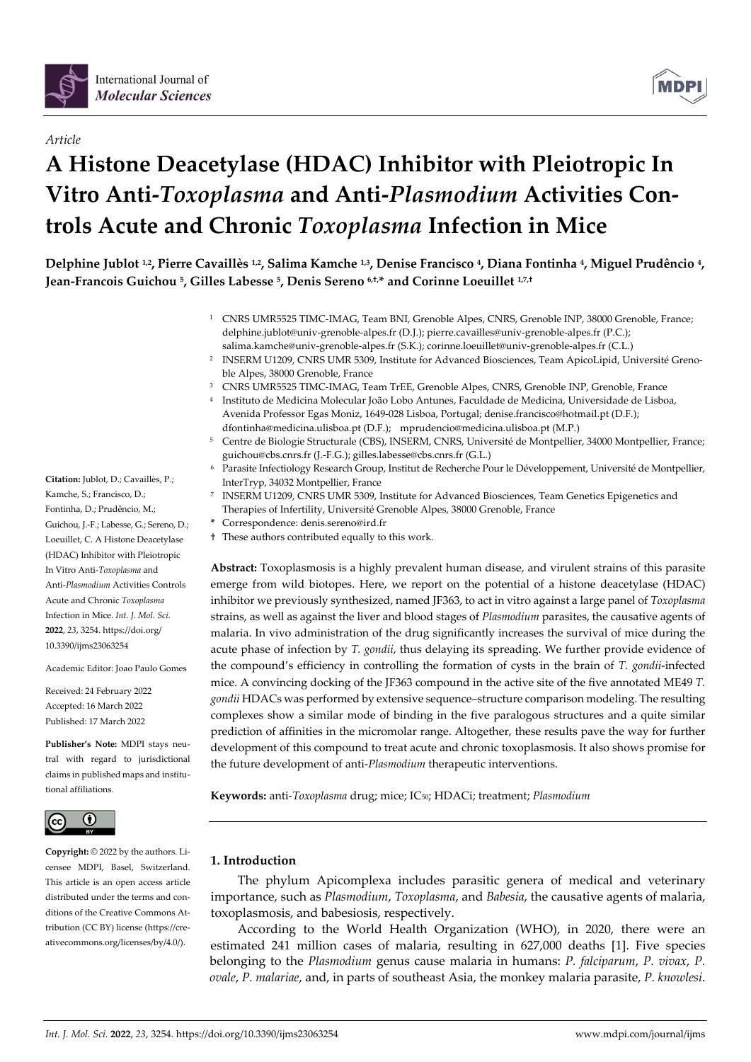

*Article*



# **A Histone Deacetylase (HDAC) Inhibitor with Pleiotropic In Vitro Anti-***Toxoplasma* **and Anti-***Plasmodium* **Activities Controls Acute and Chronic** *Toxoplasma* **Infection in Mice**

**Delphine Jublot 1,2, Pierre Cavaillès 1,2, Salima Kamche 1,3, Denise Francisco 4, Diana Fontinha 4, Miguel Prudêncio 4, Jean-Francois Guichou 5, Gilles Labesse 5, Denis Sereno 6,†,\* and Corinne Loeuillet 1,7,†**

- <sup>1</sup> CNRS UMR5525 TIMC-IMAG, Team BNI, Grenoble Alpes, CNRS, Grenoble INP, 38000 Grenoble, France; delphine.jublot@univ-grenoble-alpes.fr (D.J.); pierre.cavailles@univ-grenoble-alpes.fr (P.C.); salima.kamche@univ-grenoble-alpes.fr (S.K.); corinne.loeuillet@univ-grenoble-alpes.fr (C.L.)
- <sup>2</sup> INSERM U1209, CNRS UMR 5309, Institute for Advanced Biosciences, Team ApicoLipid, Université Grenoble Alpes, 38000 Grenoble, France
- <sup>3</sup> CNRS UMR5525 TIMC-IMAG, Team TrEE, Grenoble Alpes, CNRS, Grenoble INP, Grenoble, France
- <sup>4</sup> Instituto de Medicina Molecular João Lobo Antunes, Faculdade de Medicina, Universidade de Lisboa, Avenida Professor Egas Moniz, 1649-028 Lisboa, Portugal; denise.francisco@hotmail.pt (D.F.); dfontinha@medicina.ulisboa.pt (D.F.); mprudencio@medicina.ulisboa.pt (M.P.)
- <sup>5</sup> Centre de Biologie Structurale (CBS), INSERM, CNRS, Université de Montpellier, 34000 Montpellier, France; guichou@cbs.cnrs.fr (J.-F.G.); gilles.labesse@cbs.cnrs.fr (G.L.)
- <sup>6</sup> Parasite Infectiology Research Group, Institut de Recherche Pour le Développement, Université de Montpellier, InterTryp, 34032 Montpellier, France
- <sup>7</sup> INSERM U1209, CNRS UMR 5309, Institute for Advanced Biosciences, Team Genetics Epigenetics and Therapies of Infertility, Université Grenoble Alpes, 38000 Grenoble, France
- **\*** Correspondence: denis.sereno@ird.fr
- † These authors contributed equally to this work.

**Abstract:** Toxoplasmosis is a highly prevalent human disease, and virulent strains of this parasite emerge from wild biotopes. Here, we report on the potential of a histone deacetylase (HDAC) inhibitor we previously synthesized, named JF363, to act in vitro against a large panel of *Toxoplasma* strains, as well as against the liver and blood stages of *Plasmodium* parasites, the causative agents of malaria. In vivo administration of the drug significantly increases the survival of mice during the acute phase of infection by *T. gondii*, thus delaying its spreading. We further provide evidence of the compound's efficiency in controlling the formation of cysts in the brain of *T. gondii*-infected mice. A convincing docking of the JF363 compound in the active site of the five annotated ME49 *T. gondii* HDACs was performed by extensive sequence–structure comparison modeling. The resulting complexes show a similar mode of binding in the five paralogous structures and a quite similar prediction of affinities in the micromolar range. Altogether, these results pave the way for further development of this compound to treat acute and chronic toxoplasmosis. It also shows promise for the future development of anti-*Plasmodium* therapeutic interventions.

**Keywords:** anti-*Toxoplasma* drug; mice; IC50; HDACi; treatment; *Plasmodium*

# **1. Introduction**

The phylum Apicomplexa includes parasitic genera of medical and veterinary importance, such as *Plasmodium*, *Toxoplasma*, and *Babesia*, the causative agents of malaria, toxoplasmosis, and babesiosis, respectively.

According to the World Health Organization (WHO), in 2020, there were an estimated 241 million cases of malaria, resulting in 627,000 deaths [1]. Five species belonging to the *Plasmodium* genus cause malaria in humans: *P. falciparum*, *P. vivax*, *P. ovale*, *P. malariae*, and, in parts of southeast Asia, the monkey malaria parasite, *P. knowlesi*.

**Citation:** Jublot, D.; Cavaillès, P.; Kamche, S.; Francisco, D.; Fontinha, D.; Prudêncio, M.; Guichou, J.-F.; Labesse, G.; Sereno, D.; Loeuillet, C. A Histone Deacetylase (HDAC) Inhibitor with Pleiotropic In Vitro Anti-*Toxoplasma* and Anti-*Plasmodium* Activities Controls Acute and Chronic *Toxoplasma*  Infection in Mice. *Int. J. Mol. Sci.*  **2022**, *23*, 3254. https://doi.org/ 10.3390/ijms23063254

Academic Editor: Joao Paulo Gomes

Received: 24 February 2022 Accepted: 16 March 2022 Published: 17 March 2022

**Publisher's Note:** MDPI stays neutral with regard to jurisdictional claims in published maps and institutional affiliations.



**Copyright:** © 2022 by the authors. Licensee MDPI, Basel, Switzerland. This article is an open access article distributed under the terms and conditions of the Creative Commons Attribution (CC BY) license (https://creativecommons.org/licenses/by/4.0/).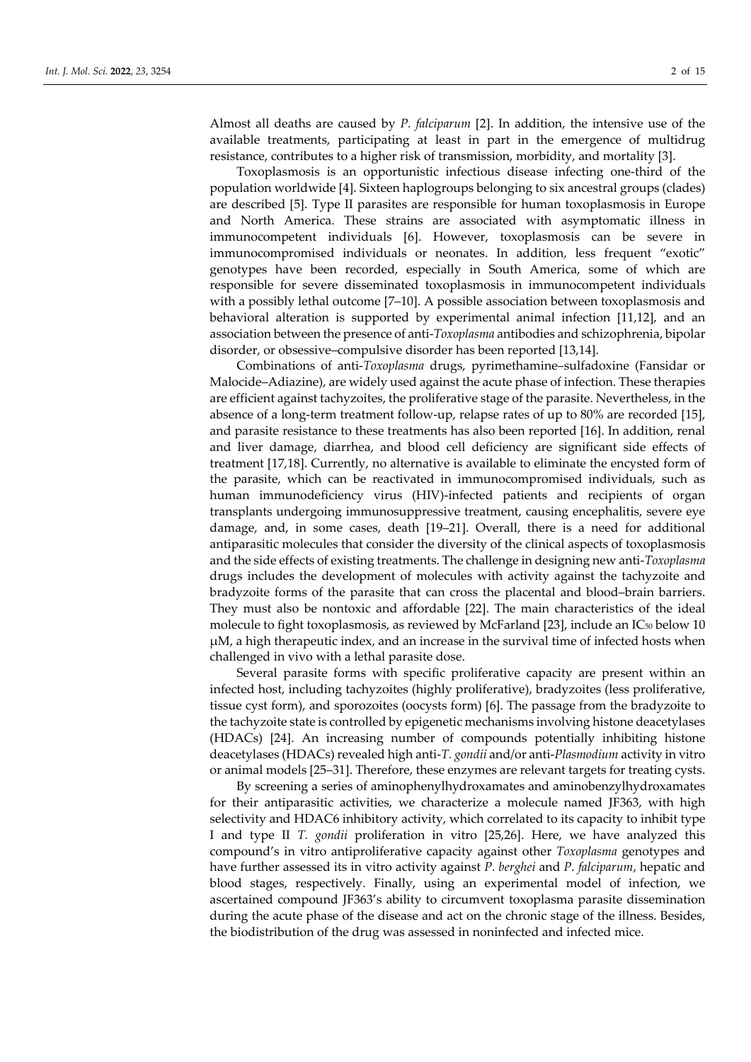Almost all deaths are caused by *P. falciparum* [2]. In addition, the intensive use of the available treatments, participating at least in part in the emergence of multidrug resistance, contributes to a higher risk of transmission, morbidity, and mortality [3].

Toxoplasmosis is an opportunistic infectious disease infecting one-third of the population worldwide [4]. Sixteen haplogroups belonging to six ancestral groups (clades) are described [5]. Type II parasites are responsible for human toxoplasmosis in Europe and North America. These strains are associated with asymptomatic illness in immunocompetent individuals [6]. However, toxoplasmosis can be severe in immunocompromised individuals or neonates. In addition, less frequent "exotic" genotypes have been recorded, especially in South America, some of which are responsible for severe disseminated toxoplasmosis in immunocompetent individuals with a possibly lethal outcome [7–10]. A possible association between toxoplasmosis and behavioral alteration is supported by experimental animal infection [11,12], and an association between the presence of anti-*Toxoplasma* antibodies and schizophrenia, bipolar disorder, or obsessive–compulsive disorder has been reported [13,14].

Combinations of anti-*Toxoplasma* drugs, pyrimethamine–sulfadoxine (Fansidar or Malocide–Adiazine), are widely used against the acute phase of infection. These therapies are efficient against tachyzoites, the proliferative stage of the parasite. Nevertheless, in the absence of a long-term treatment follow-up, relapse rates of up to 80% are recorded [15], and parasite resistance to these treatments has also been reported [16]. In addition, renal and liver damage, diarrhea, and blood cell deficiency are significant side effects of treatment [17,18]. Currently, no alternative is available to eliminate the encysted form of the parasite, which can be reactivated in immunocompromised individuals, such as human immunodeficiency virus (HIV)-infected patients and recipients of organ transplants undergoing immunosuppressive treatment, causing encephalitis, severe eye damage, and, in some cases, death [19–21]. Overall, there is a need for additional antiparasitic molecules that consider the diversity of the clinical aspects of toxoplasmosis and the side effects of existing treatments. The challenge in designing new anti-*Toxoplasma* drugs includes the development of molecules with activity against the tachyzoite and bradyzoite forms of the parasite that can cross the placental and blood–brain barriers. They must also be nontoxic and affordable [22]. The main characteristics of the ideal molecule to fight toxoplasmosis, as reviewed by McFarland [23], include an  $IC_{50}$  below 10 μM, a high therapeutic index, and an increase in the survival time of infected hosts when challenged in vivo with a lethal parasite dose.

Several parasite forms with specific proliferative capacity are present within an infected host, including tachyzoites (highly proliferative), bradyzoites (less proliferative, tissue cyst form), and sporozoites (oocysts form) [6]. The passage from the bradyzoite to the tachyzoite state is controlled by epigenetic mechanisms involving histone deacetylases (HDACs) [24]. An increasing number of compounds potentially inhibiting histone deacetylases (HDACs) revealed high anti-*T. gondii* and/or anti-*Plasmodium* activity in vitro or animal models [25–31]. Therefore, these enzymes are relevant targets for treating cysts.

By screening a series of aminophenylhydroxamates and aminobenzylhydroxamates for their antiparasitic activities, we characterize a molecule named JF363, with high selectivity and HDAC6 inhibitory activity, which correlated to its capacity to inhibit type I and type II *T. gondii* proliferation in vitro [25,26]. Here, we have analyzed this compound's in vitro antiproliferative capacity against other *Toxoplasma* genotypes and have further assessed its in vitro activity against *P. berghei* and *P. falciparum*, hepatic and blood stages, respectively. Finally, using an experimental model of infection, we ascertained compound JF363's ability to circumvent toxoplasma parasite dissemination during the acute phase of the disease and act on the chronic stage of the illness. Besides, the biodistribution of the drug was assessed in noninfected and infected mice.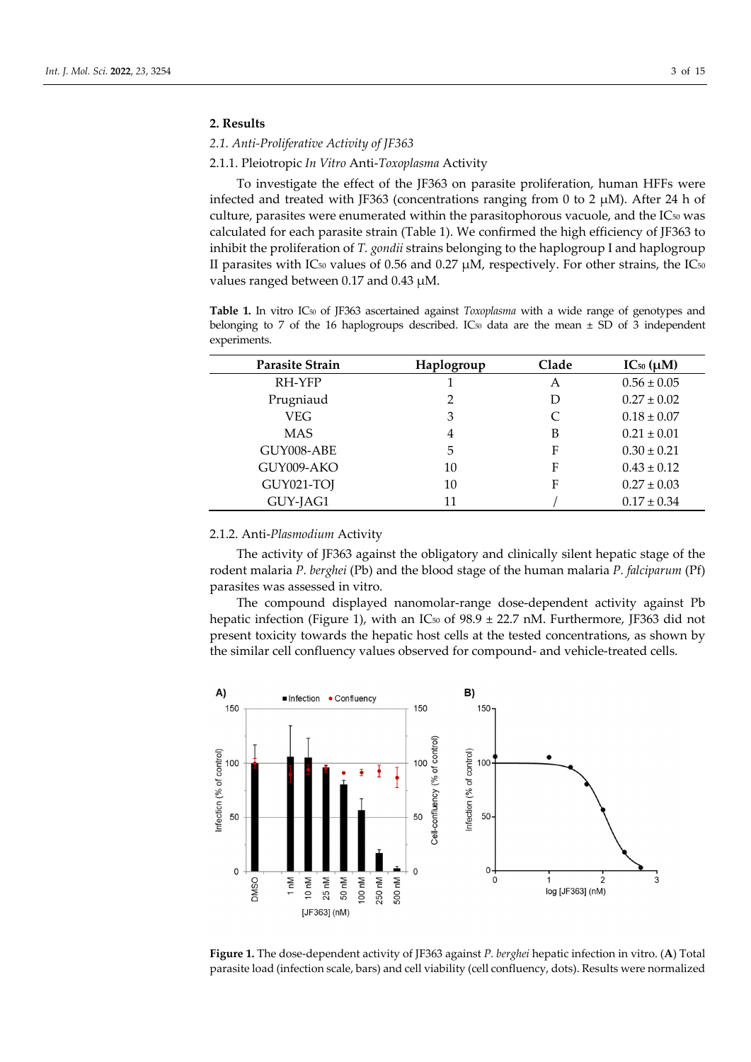## **2. Results**

# *2.1. Anti-Proliferative Activity of JF363*

#### 2.1.1. Pleiotropic *In Vitro* Anti-*Toxoplasma* Activity

To investigate the effect of the JF363 on parasite proliferation, human HFFs were infected and treated with JF363 (concentrations ranging from 0 to 2 μM). After 24 h of culture, parasites were enumerated within the parasitophorous vacuole, and the IC<sub>50</sub> was calculated for each parasite strain (Table 1). We confirmed the high efficiency of JF363 to inhibit the proliferation of *T. gondii* strains belonging to the haplogroup I and haplogroup II parasites with IC<sub>50</sub> values of 0.56 and 0.27  $\mu$ M, respectively. For other strains, the IC<sub>50</sub> values ranged between 0.17 and 0.43 μM.

**Table 1.** In vitro IC50 of JF363 ascertained against *Toxoplasma* with a wide range of genotypes and belonging to 7 of the 16 haplogroups described. IC<sub>50</sub> data are the mean  $\pm$  SD of 3 independent experiments.

| Parasite Strain | Haplogroup     | Clade | $IC_{50} (\mu M)$ |  |
|-----------------|----------------|-------|-------------------|--|
| RH-YFP          |                | A     | $0.56 \pm 0.05$   |  |
| Prugniaud       | $\overline{2}$ | D     | $0.27 \pm 0.02$   |  |
| <b>VEG</b>      | 3              | C     | $0.18 \pm 0.07$   |  |
| <b>MAS</b>      | 4              | B     | $0.21 \pm 0.01$   |  |
| GUY008-ABE      | 5              | F     | $0.30 \pm 0.21$   |  |
| GUY009-AKO      | 10             | F     | $0.43 \pm 0.12$   |  |
| GUY021-TOJ      | 10             | F     | $0.27 \pm 0.03$   |  |
| GUY-JAG1        | 11             |       | $0.17 \pm 0.34$   |  |

## 2.1.2. Anti-*Plasmodium* Activity

The activity of JF363 against the obligatory and clinically silent hepatic stage of the rodent malaria *P. berghei* (Pb) and the blood stage of the human malaria *P. falciparum* (Pf) parasites was assessed in vitro.

The compound displayed nanomolar-range dose-dependent activity against Pb hepatic infection (Figure 1), with an IC<sub>50</sub> of 98.9  $\pm$  22.7 nM. Furthermore, JF363 did not present toxicity towards the hepatic host cells at the tested concentrations, as shown by the similar cell confluency values observed for compound- and vehicle-treated cells.



**Figure 1.** The dose-dependent activity of JF363 against *P. berghei* hepatic infection in vitro. (**A**) Total parasite load (infection scale, bars) and cell viability (cell confluency, dots). Results were normalized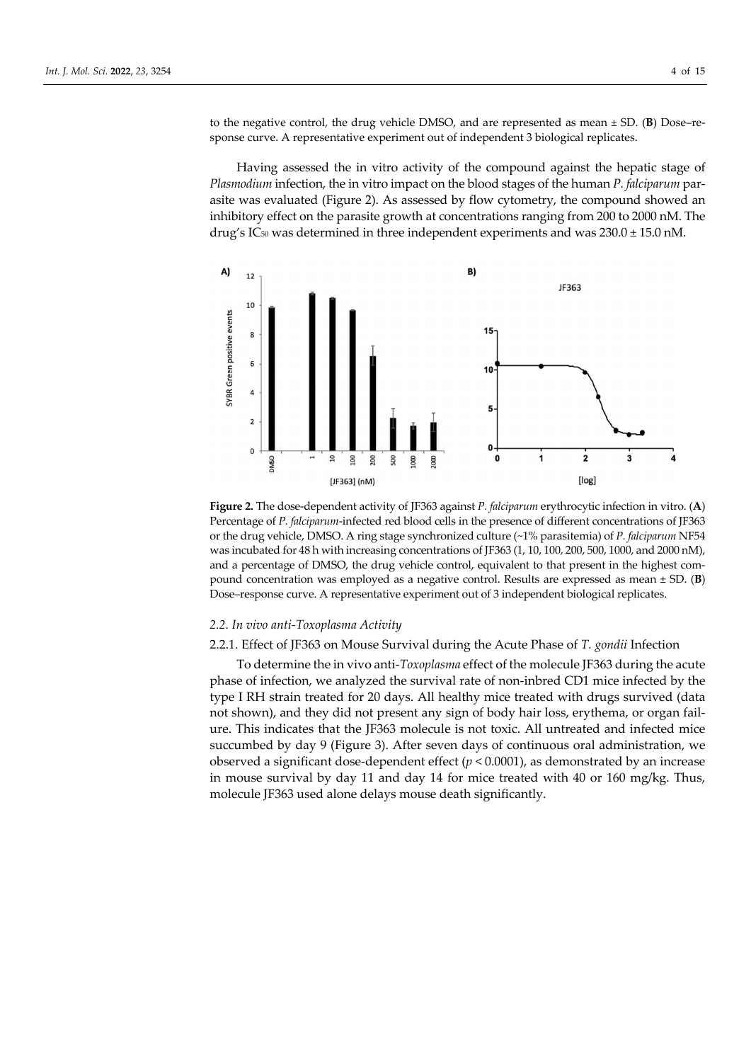to the negative control, the drug vehicle DMSO, and are represented as mean ± SD. (**B**) Dose–response curve. A representative experiment out of independent 3 biological replicates.

Having assessed the in vitro activity of the compound against the hepatic stage of *Plasmodium* infection, the in vitro impact on the blood stages of the human *P. falciparum* parasite was evaluated (Figure 2). As assessed by flow cytometry, the compound showed an inhibitory effect on the parasite growth at concentrations ranging from 200 to 2000 nM. The drug's IC<sub>50</sub> was determined in three independent experiments and was  $230.0 \pm 15.0$  nM.



**Figure 2.** The dose-dependent activity of JF363 against *P. falciparum* erythrocytic infection in vitro. (**A**) Percentage of *P. falciparum*-infected red blood cells in the presence of different concentrations of JF363 or the drug vehicle, DMSO. A ring stage synchronized culture (~1% parasitemia) of *P. falciparum* NF54 was incubated for 48 h with increasing concentrations of JF363 (1, 10, 100, 200, 500, 1000, and 2000 nM), and a percentage of DMSO, the drug vehicle control, equivalent to that present in the highest compound concentration was employed as a negative control. Results are expressed as mean ± SD. (**B**) Dose–response curve. A representative experiment out of 3 independent biological replicates.

#### *2.2. In vivo anti-Toxoplasma Activity*

# 2.2.1. Effect of JF363 on Mouse Survival during the Acute Phase of *T. gondii* Infection

To determine the in vivo anti-*Toxoplasma* effect of the molecule JF363 during the acute phase of infection, we analyzed the survival rate of non-inbred CD1 mice infected by the type I RH strain treated for 20 days. All healthy mice treated with drugs survived (data not shown), and they did not present any sign of body hair loss, erythema, or organ failure. This indicates that the JF363 molecule is not toxic. All untreated and infected mice succumbed by day 9 (Figure 3). After seven days of continuous oral administration, we observed a significant dose-dependent effect (*p* < 0.0001), as demonstrated by an increase in mouse survival by day 11 and day 14 for mice treated with 40 or 160 mg/kg. Thus, molecule JF363 used alone delays mouse death significantly.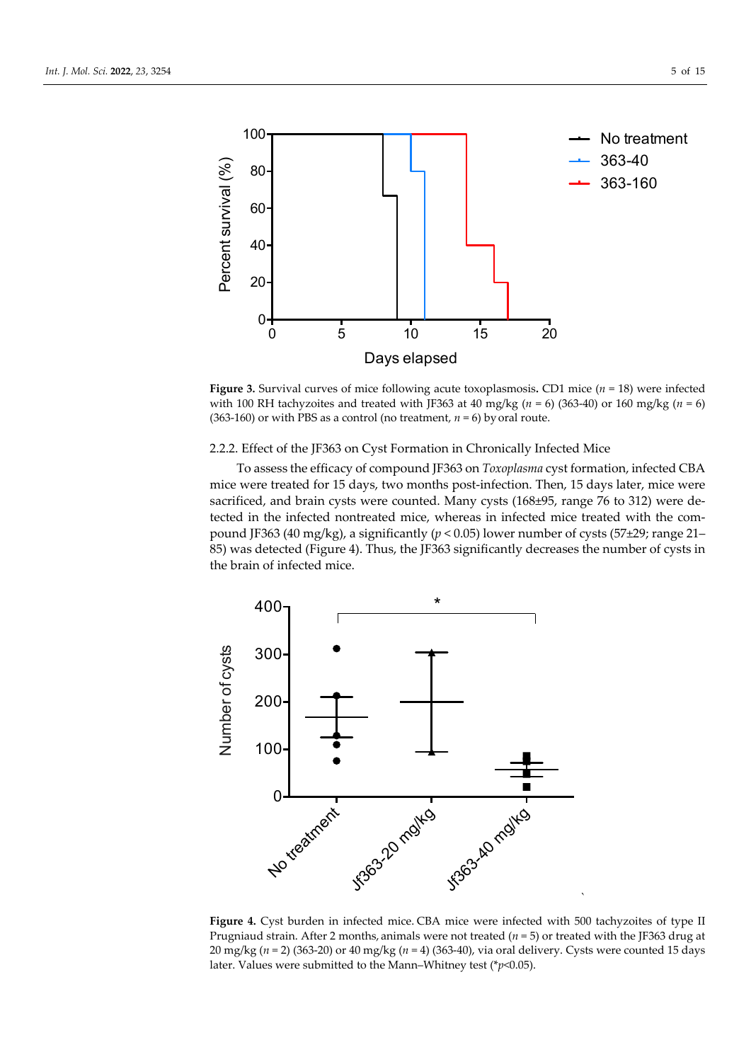

**Figure 3.** Survival curves of mice following acute toxoplasmosis**.** CD1 mice (*n* = 18) were infected with 100 RH tachyzoites and treated with JF363 at 40 mg/kg (*n* = 6) (363-40) or 160 mg/kg (*n* = 6) (363-160) or with PBS as a control (no treatment,  $n = 6$ ) by oral route.

## 2.2.2. Effect of the JF363 on Cyst Formation in Chronically Infected Mice

To assess the efficacy of compound JF363 on *Toxoplasma* cyst formation, infected CBA mice were treated for 15 days, two months post-infection. Then, 15 days later, mice were sacrificed, and brain cysts were counted. Many cysts (168±95, range 76 to 312) were detected in the infected nontreated mice, whereas in infected mice treated with the compound JF363 (40 mg/kg), a significantly (*p* < 0.05) lower number of cysts (57±29; range 21– 85) was detected (Figure 4). Thus, the JF363 significantly decreases the number of cysts in the brain of infected mice.



**Figure 4.** Cyst burden in infected mice. CBA mice were infected with 500 tachyzoites of type II Prugniaud strain. After 2 months, animals were not treated (*n* = 5) or treated with the JF363 drug at 20 mg/kg (*n* = 2) (363-20) or 40 mg/kg (*n* = 4) (363-40), via oral delivery. Cysts were counted 15 days later. Values were submitted to the Mann–Whitney test (\**p*<0.05).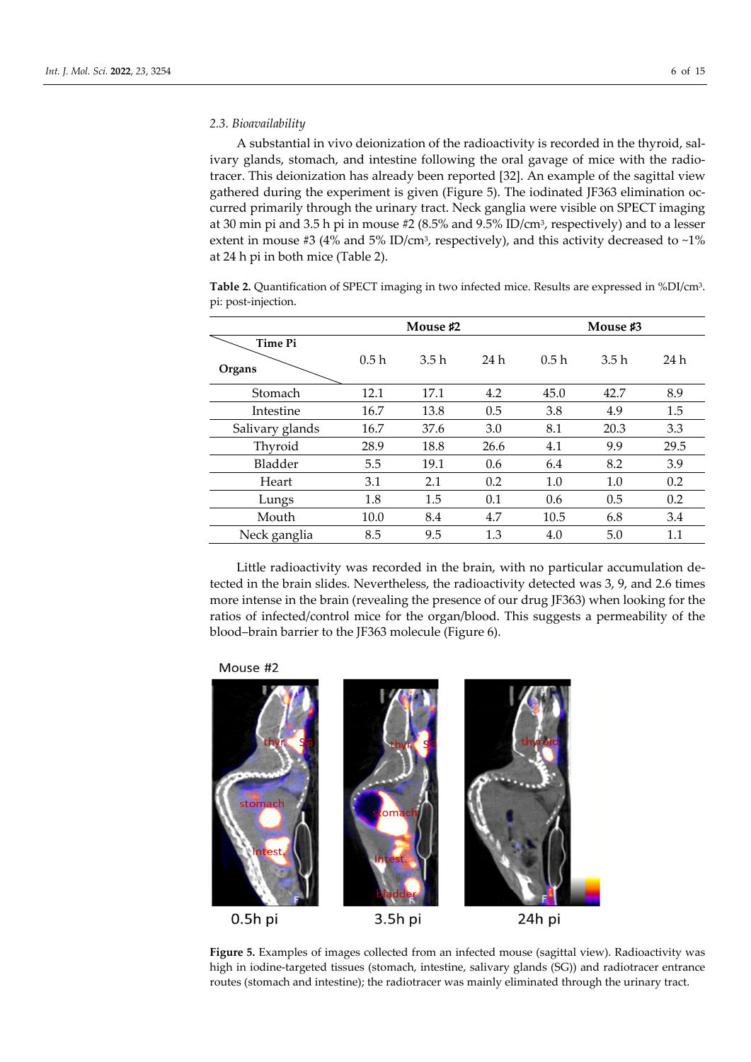#### *2.3. Bioavailability*

A substantial in vivo deionization of the radioactivity is recorded in the thyroid, salivary glands, stomach, and intestine following the oral gavage of mice with the radiotracer. This deionization has already been reported [32]. An example of the sagittal view gathered during the experiment is given (Figure 5). The iodinated JF363 elimination occurred primarily through the urinary tract. Neck ganglia were visible on SPECT imaging at 30 min pi and 3.5 h pi in mouse #2 (8.5% and 9.5% ID/cm3, respectively) and to a lesser extent in mouse #3 (4% and 5% ID/cm<sup>3</sup>, respectively), and this activity decreased to ~1% at 24 h pi in both mice (Table 2).

**Table 2.** Quantification of SPECT imaging in two infected mice. Results are expressed in %DI/cm3. pi: post-injection.

|                 | Mouse #2 |      |      | Mouse #3 |      |      |
|-----------------|----------|------|------|----------|------|------|
| <b>Time Pi</b>  |          |      |      |          |      |      |
| Organs          | 0.5h     | 3.5h | 24 h | 0.5h     | 3.5h | 24 h |
| Stomach         | 12.1     | 17.1 | 4.2  | 45.0     | 42.7 | 8.9  |
| Intestine       | 16.7     | 13.8 | 0.5  | 3.8      | 4.9  | 1.5  |
| Salivary glands | 16.7     | 37.6 | 3.0  | 8.1      | 20.3 | 3.3  |
| Thyroid         | 28.9     | 18.8 | 26.6 | 4.1      | 9.9  | 29.5 |
| Bladder         | 5.5      | 19.1 | 0.6  | 6.4      | 8.2  | 3.9  |
| Heart           | 3.1      | 2.1  | 0.2  | 1.0      | 1.0  | 0.2  |
| Lungs           | 1.8      | 1.5  | 0.1  | 0.6      | 0.5  | 0.2  |
| Mouth           | 10.0     | 8.4  | 4.7  | 10.5     | 6.8  | 3.4  |
| Neck ganglia    | 8.5      | 9.5  | 1.3  | 4.0      | 5.0  | 1.1  |

Little radioactivity was recorded in the brain, with no particular accumulation detected in the brain slides. Nevertheless, the radioactivity detected was 3, 9, and 2.6 times more intense in the brain (revealing the presence of our drug JF363) when looking for the ratios of infected/control mice for the organ/blood. This suggests a permeability of the blood–brain barrier to the JF363 molecule (Figure 6).

## Mouse #2



**Figure 5.** Examples of images collected from an infected mouse (sagittal view). Radioactivity was high in iodine-targeted tissues (stomach, intestine, salivary glands (SG)) and radiotracer entrance routes (stomach and intestine); the radiotracer was mainly eliminated through the urinary tract.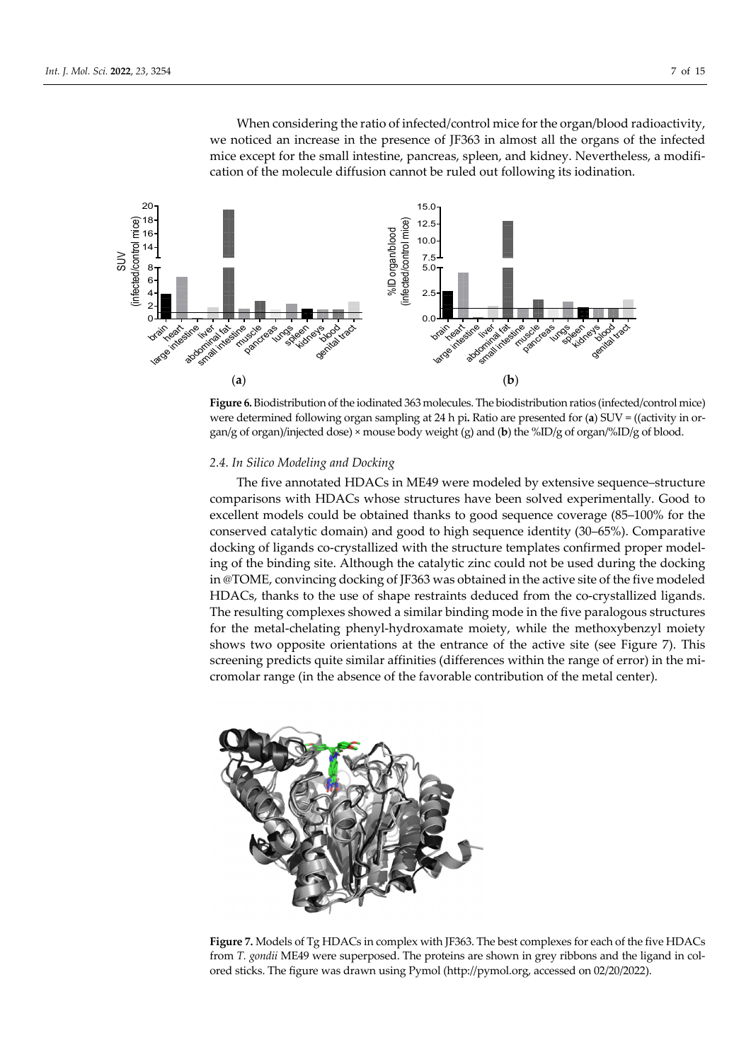When considering the ratio of infected/control mice for the organ/blood radioactivity, we noticed an increase in the presence of JF363 in almost all the organs of the infected mice except for the small intestine, pancreas, spleen, and kidney. Nevertheless, a modification of the molecule diffusion cannot be ruled out following its iodination.



**Figure 6.** Biodistribution of the iodinated 363 molecules. The biodistribution ratios (infected/control mice) were determined following organ sampling at 24 h pi**.** Ratio are presented for (**a**) SUV = ((activity in organ/g of organ)/injected dose) × mouse body weight (g) and (**b**) the %ID/g of organ/%ID/g of blood.

## *2.4. In Silico Modeling and Docking*

The five annotated HDACs in ME49 were modeled by extensive sequence–structure comparisons with HDACs whose structures have been solved experimentally. Good to excellent models could be obtained thanks to good sequence coverage (85–100% for the conserved catalytic domain) and good to high sequence identity (30–65%). Comparative docking of ligands co-crystallized with the structure templates confirmed proper modeling of the binding site. Although the catalytic zinc could not be used during the docking in @TOME, convincing docking of JF363 was obtained in the active site of the five modeled HDACs, thanks to the use of shape restraints deduced from the co-crystallized ligands. The resulting complexes showed a similar binding mode in the five paralogous structures for the metal-chelating phenyl-hydroxamate moiety, while the methoxybenzyl moiety shows two opposite orientations at the entrance of the active site (see Figure 7). This screening predicts quite similar affinities (differences within the range of error) in the micromolar range (in the absence of the favorable contribution of the metal center).



**Figure 7.** Models of Tg HDACs in complex with JF363. The best complexes for each of the five HDACs from *T. gondii* ME49 were superposed. The proteins are shown in grey ribbons and the ligand in colored sticks. The figure was drawn using Pymol (http://pymol.org, accessed on 02/20/2022).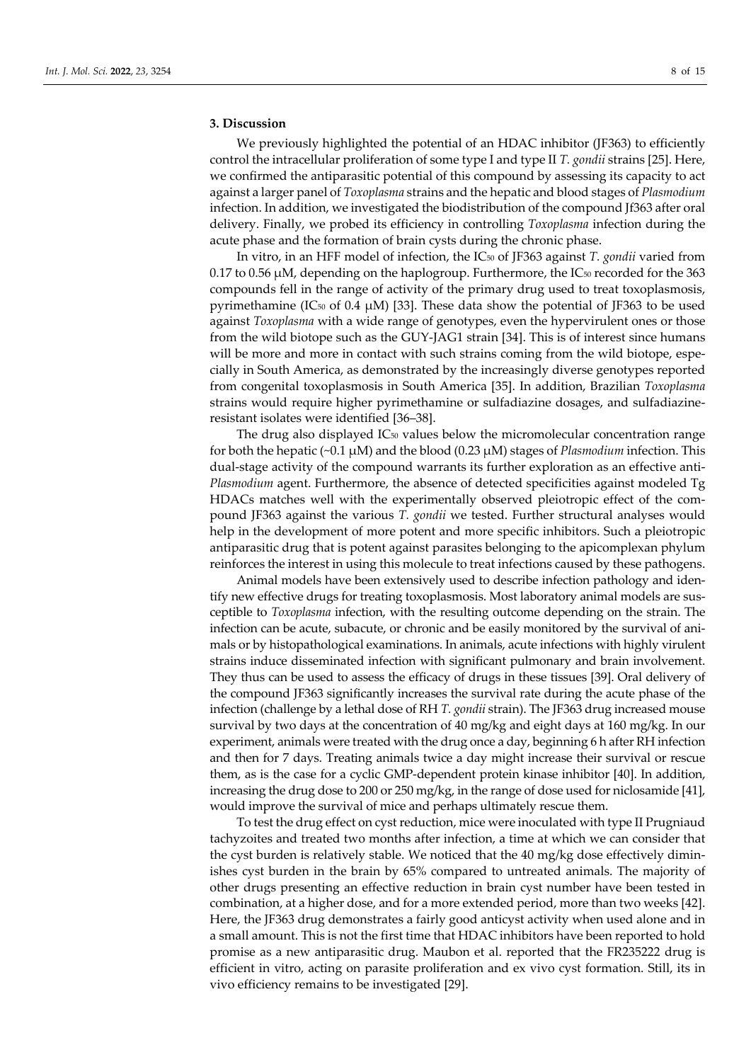## **3. Discussion**

We previously highlighted the potential of an HDAC inhibitor (JF363) to efficiently control the intracellular proliferation of some type I and type II *T. gondii* strains [25]. Here, we confirmed the antiparasitic potential of this compound by assessing its capacity to act against a larger panel of *Toxoplasma* strains and the hepatic and blood stages of *Plasmodium* infection. In addition, we investigated the biodistribution of the compound Jf363 after oral delivery. Finally, we probed its efficiency in controlling *Toxoplasma* infection during the acute phase and the formation of brain cysts during the chronic phase.

In vitro, in an HFF model of infection, the IC50 of JF363 against *T. gondii* varied from  $0.17$  to  $0.56$   $\mu$ M, depending on the haplogroup. Furthermore, the IC<sub>50</sub> recorded for the 363 compounds fell in the range of activity of the primary drug used to treat toxoplasmosis, pyrimethamine (IC<sub>50</sub> of 0.4 μM) [33]. These data show the potential of JF363 to be used against *Toxoplasma* with a wide range of genotypes, even the hypervirulent ones or those from the wild biotope such as the GUY-JAG1 strain [34]. This is of interest since humans will be more and more in contact with such strains coming from the wild biotope, especially in South America, as demonstrated by the increasingly diverse genotypes reported from congenital toxoplasmosis in South America [35]. In addition, Brazilian *Toxoplasma* strains would require higher pyrimethamine or sulfadiazine dosages, and sulfadiazineresistant isolates were identified [36–38].

The drug also displayed  $IC_{50}$  values below the micromolecular concentration range for both the hepatic (~0.1 μM) and the blood (0.23 μM) stages of *Plasmodium* infection. This dual-stage activity of the compound warrants its further exploration as an effective anti-*Plasmodium* agent. Furthermore, the absence of detected specificities against modeled Tg HDACs matches well with the experimentally observed pleiotropic effect of the compound JF363 against the various *T. gondii* we tested. Further structural analyses would help in the development of more potent and more specific inhibitors. Such a pleiotropic antiparasitic drug that is potent against parasites belonging to the apicomplexan phylum reinforces the interest in using this molecule to treat infections caused by these pathogens.

Animal models have been extensively used to describe infection pathology and identify new effective drugs for treating toxoplasmosis. Most laboratory animal models are susceptible to *Toxoplasma* infection, with the resulting outcome depending on the strain. The infection can be acute, subacute, or chronic and be easily monitored by the survival of animals or by histopathological examinations. In animals, acute infections with highly virulent strains induce disseminated infection with significant pulmonary and brain involvement. They thus can be used to assess the efficacy of drugs in these tissues [39]. Oral delivery of the compound JF363 significantly increases the survival rate during the acute phase of the infection (challenge by a lethal dose of RH *T. gondii* strain). The JF363 drug increased mouse survival by two days at the concentration of 40 mg/kg and eight days at 160 mg/kg. In our experiment, animals were treated with the drug once a day, beginning 6 h after RH infection and then for 7 days. Treating animals twice a day might increase their survival or rescue them, as is the case for a cyclic GMP-dependent protein kinase inhibitor [40]. In addition, increasing the drug dose to 200 or 250 mg/kg, in the range of dose used for niclosamide [41], would improve the survival of mice and perhaps ultimately rescue them.

To test the drug effect on cyst reduction, mice were inoculated with type II Prugniaud tachyzoites and treated two months after infection, a time at which we can consider that the cyst burden is relatively stable. We noticed that the 40 mg/kg dose effectively diminishes cyst burden in the brain by 65% compared to untreated animals. The majority of other drugs presenting an effective reduction in brain cyst number have been tested in combination, at a higher dose, and for a more extended period, more than two weeks [42]. Here, the JF363 drug demonstrates a fairly good anticyst activity when used alone and in a small amount. This is not the first time that HDAC inhibitors have been reported to hold promise as a new antiparasitic drug. Maubon et al. reported that the FR235222 drug is efficient in vitro, acting on parasite proliferation and ex vivo cyst formation. Still, its in vivo efficiency remains to be investigated [29].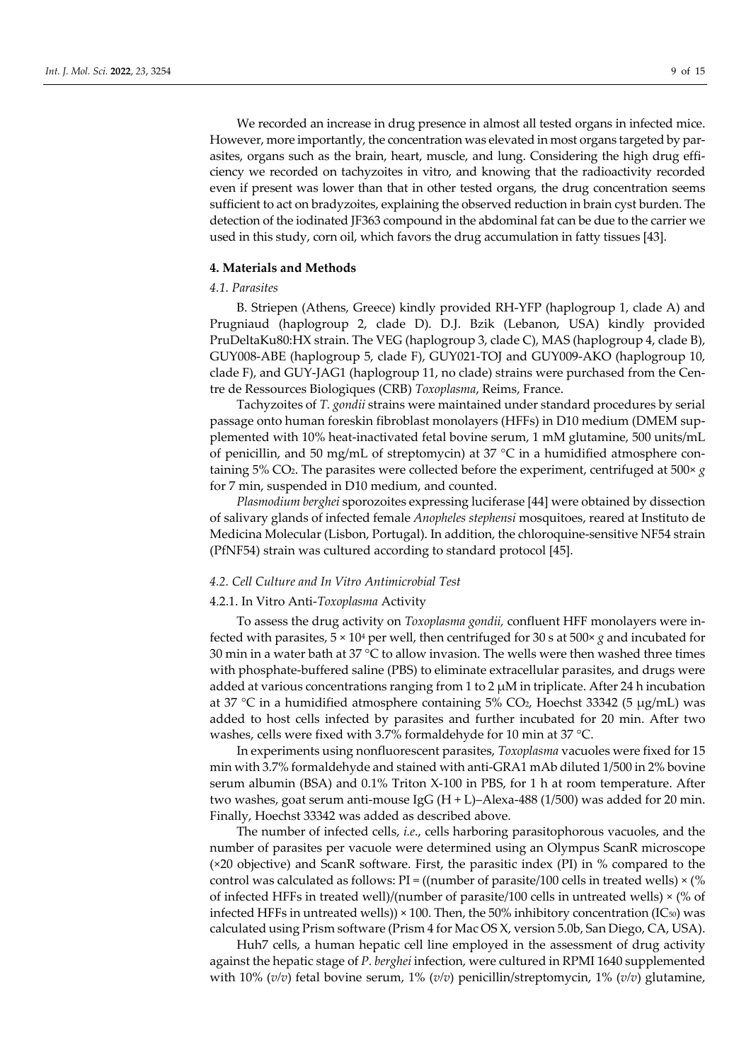We recorded an increase in drug presence in almost all tested organs in infected mice. However, more importantly, the concentration was elevated in most organs targeted by parasites, organs such as the brain, heart, muscle, and lung. Considering the high drug efficiency we recorded on tachyzoites in vitro, and knowing that the radioactivity recorded even if present was lower than that in other tested organs, the drug concentration seems sufficient to act on bradyzoites, explaining the observed reduction in brain cyst burden. The detection of the iodinated JF363 compound in the abdominal fat can be due to the carrier we used in this study, corn oil, which favors the drug accumulation in fatty tissues [43].

## **4. Materials and Methods**

## *4.1. Parasites*

B. Striepen (Athens, Greece) kindly provided RH-YFP (haplogroup 1, clade A) and Prugniaud (haplogroup 2, clade D). D.J. Bzik (Lebanon, USA) kindly provided PruDeltaKu80:HX strain. The VEG (haplogroup 3, clade C), MAS (haplogroup 4, clade B), GUY008-ABE (haplogroup 5, clade F), GUY021-TOJ and GUY009-AKO (haplogroup 10, clade F), and GUY-JAG1 (haplogroup 11, no clade) strains were purchased from the Centre de Ressources Biologiques (CRB) *Toxoplasma*, Reims, France.

Tachyzoites of *T. gondii* strains were maintained under standard procedures by serial passage onto human foreskin fibroblast monolayers (HFFs) in D10 medium (DMEM supplemented with 10% heat-inactivated fetal bovine serum, 1 mM glutamine, 500 units/mL of penicillin, and 50 mg/mL of streptomycin) at 37  $\degree$ C in a humidified atmosphere containing 5% CO<sub>2</sub>. The parasites were collected before the experiment, centrifuged at  $500 \times g$ for 7 min, suspended in D10 medium, and counted.

*Plasmodium berghei* sporozoites expressing luciferase [44] were obtained by dissection of salivary glands of infected female *Anopheles stephensi* mosquitoes, reared at Instituto de Medicina Molecular (Lisbon, Portugal). In addition, the chloroquine-sensitive NF54 strain (PfNF54) strain was cultured according to standard protocol [45].

#### *4.2. Cell Culture and In Vitro Antimicrobial Test*

## 4.2.1. In Vitro Anti-*Toxoplasma* Activity

To assess the drug activity on *Toxoplasma gondii,* confluent HFF monolayers were infected with parasites,  $5 \times 10^4$  per well, then centrifuged for 30 s at  $500 \times g$  and incubated for 30 min in a water bath at 37  $\rm{^{\circ}C}$  to allow invasion. The wells were then washed three times with phosphate-buffered saline (PBS) to eliminate extracellular parasites, and drugs were added at various concentrations ranging from 1 to 2 μM in triplicate. After 24 h incubation at 37 °C in a humidified atmosphere containing 5% CO<sub>2</sub>, Hoechst 33342 (5  $\mu$ g/mL) was added to host cells infected by parasites and further incubated for 20 min. After two washes, cells were fixed with 3.7% formaldehyde for 10 min at 37 °C.

In experiments using nonfluorescent parasites, *Toxoplasma* vacuoles were fixed for 15 min with 3.7% formaldehyde and stained with anti-GRA1 mAb diluted 1/500 in 2% bovine serum albumin (BSA) and 0.1% Triton X-100 in PBS, for 1 h at room temperature. After two washes, goat serum anti-mouse IgG  $(H + L)$ –Alexa-488 (1/500) was added for 20 min. Finally, Hoechst 33342 was added as described above.

The number of infected cells, *i.e*., cells harboring parasitophorous vacuoles, and the number of parasites per vacuole were determined using an Olympus ScanR microscope (×20 objective) and ScanR software. First, the parasitic index (PI) in % compared to the control was calculated as follows:  $PI = (number of parasite/100 cells in treated wells) \times (%$ of infected HFFs in treated well)/(number of parasite/100 cells in untreated wells)  $\times$  (% of infected HFFs in untreated wells))  $\times$  100. Then, the 50% inhibitory concentration (IC<sub>50</sub>) was calculated using Prism software (Prism 4 for Mac OS X, version 5.0b, San Diego, CA, USA).

Huh7 cells, a human hepatic cell line employed in the assessment of drug activity against the hepatic stage of *P. berghei* infection, were cultured in RPMI 1640 supplemented with 10% (*v/v*) fetal bovine serum, 1% (*v/v*) penicillin/streptomycin, 1% (*v/v*) glutamine,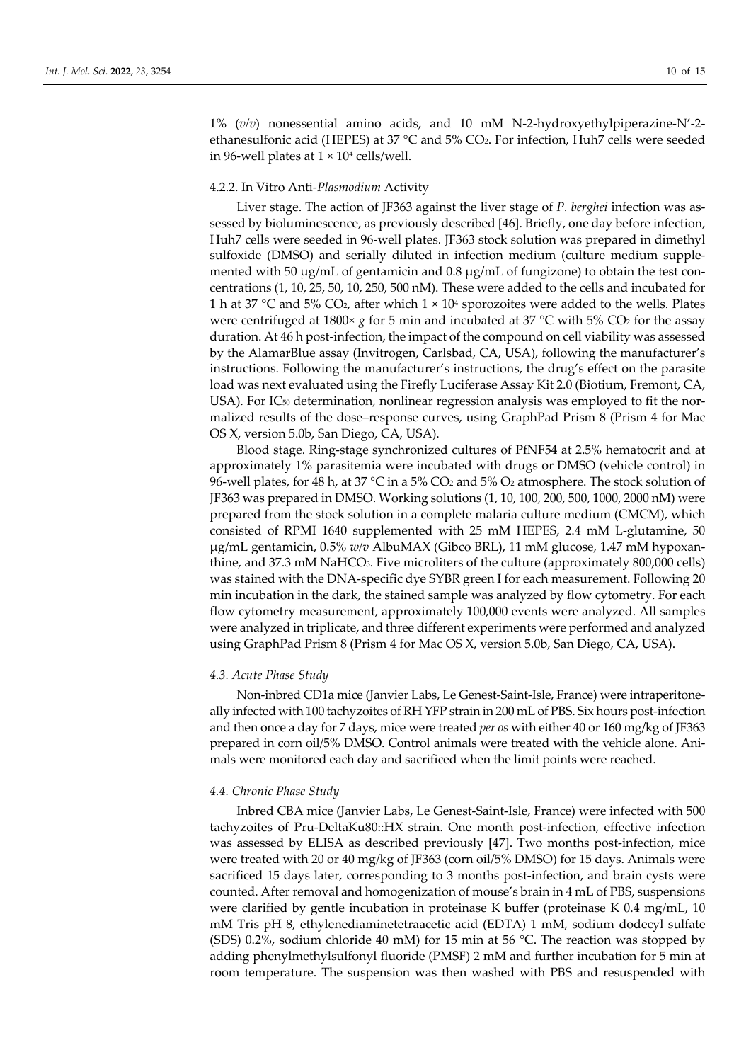1% (*v/v*) nonessential amino acids, and 10 mM N-2-hydroxyethylpiperazine-N'-2 ethanesulfonic acid (HEPES) at 37 °C and 5% CO2. For infection, Huh7 cells were seeded in 96-well plates at  $1 \times 10^4$  cells/well.

## 4.2.2. In Vitro Anti-*Plasmodium* Activity

Liver stage. The action of JF363 against the liver stage of *P. berghei* infection was assessed by bioluminescence, as previously described [46]. Briefly, one day before infection, Huh7 cells were seeded in 96-well plates. JF363 stock solution was prepared in dimethyl sulfoxide (DMSO) and serially diluted in infection medium (culture medium supplemented with 50  $\mu$ g/mL of gentamicin and 0.8  $\mu$ g/mL of fungizone) to obtain the test concentrations (1, 10, 25, 50, 10, 250, 500 nM). These were added to the cells and incubated for 1 h at 37 °C and 5% CO<sub>2</sub>, after which  $1 \times 10^4$  sporozoites were added to the wells. Plates were centrifuged at 1800×  $g$  for 5 min and incubated at 37 °C with 5% CO<sub>2</sub> for the assay duration. At 46 h post-infection, the impact of the compound on cell viability was assessed by the AlamarBlue assay (Invitrogen, Carlsbad, CA, USA), following the manufacturer's instructions. Following the manufacturer's instructions, the drug's effect on the parasite load was next evaluated using the Firefly Luciferase Assay Kit 2.0 (Biotium, Fremont, CA, USA). For IC<sub>50</sub> determination, nonlinear regression analysis was employed to fit the normalized results of the dose–response curves, using GraphPad Prism 8 (Prism 4 for Mac OS X, version 5.0b, San Diego, CA, USA).

Blood stage. Ring-stage synchronized cultures of PfNF54 at 2.5% hematocrit and at approximately 1% parasitemia were incubated with drugs or DMSO (vehicle control) in 96-well plates, for 48 h, at 37 °C in a 5% CO<sub>2</sub> and 5% O<sub>2</sub> atmosphere. The stock solution of JF363 was prepared in DMSO. Working solutions (1, 10, 100, 200, 500, 1000, 2000 nM) were prepared from the stock solution in a complete malaria culture medium (CMCM), which consisted of RPMI 1640 supplemented with 25 mM HEPES, 2.4 mM L-glutamine, 50 μg/mL gentamicin, 0.5% *w/v* AlbuMAX (Gibco BRL), 11 mM glucose, 1.47 mM hypoxanthine, and 37.3 mM NaHCO3. Five microliters of the culture (approximately 800,000 cells) was stained with the DNA-specific dye SYBR green I for each measurement. Following 20 min incubation in the dark, the stained sample was analyzed by flow cytometry. For each flow cytometry measurement, approximately 100,000 events were analyzed. All samples were analyzed in triplicate, and three different experiments were performed and analyzed using GraphPad Prism 8 (Prism 4 for Mac OS X, version 5.0b, San Diego, CA, USA).

#### *4.3. Acute Phase Study*

Non-inbred CD1a mice (Janvier Labs, Le Genest-Saint-Isle, France) were intraperitoneally infected with 100 tachyzoites of RH YFP strain in 200 mL of PBS. Six hours post-infection and then once a day for 7 days, mice were treated *per os* with either 40 or 160 mg/kg of JF363 prepared in corn oil/5% DMSO. Control animals were treated with the vehicle alone. Animals were monitored each day and sacrificed when the limit points were reached.

#### *4.4. Chronic Phase Study*

Inbred CBA mice (Janvier Labs, Le Genest-Saint-Isle, France) were infected with 500 tachyzoites of Pru-DeltaKu80::HX strain. One month post-infection, effective infection was assessed by ELISA as described previously [47]. Two months post-infection, mice were treated with 20 or 40 mg/kg of JF363 (corn oil/5% DMSO) for 15 days. Animals were sacrificed 15 days later, corresponding to 3 months post-infection, and brain cysts were counted. After removal and homogenization of mouse's brain in 4 mL of PBS, suspensions were clarified by gentle incubation in proteinase K buffer (proteinase K 0.4 mg/mL, 10 mM Tris pH 8, ethylenediaminetetraacetic acid (EDTA) 1 mM, sodium dodecyl sulfate (SDS) 0.2%, sodium chloride 40 mM) for 15 min at 56 °C. The reaction was stopped by adding phenylmethylsulfonyl fluoride (PMSF) 2 mM and further incubation for 5 min at room temperature. The suspension was then washed with PBS and resuspended with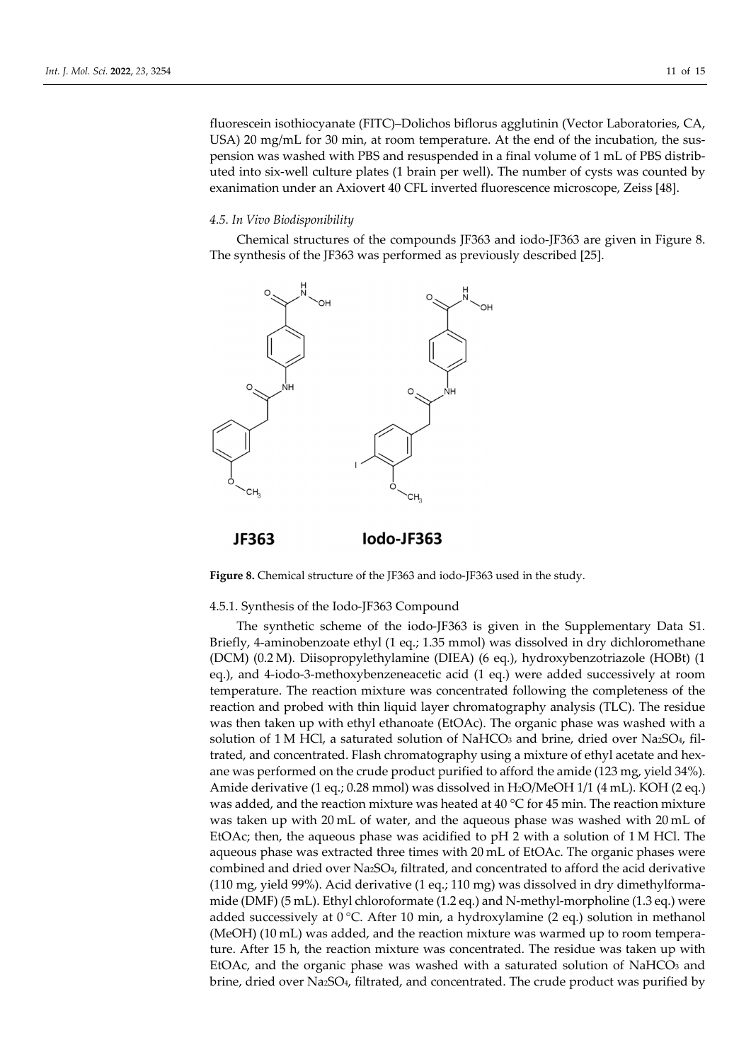fluorescein isothiocyanate (FITC)–Dolichos biflorus agglutinin (Vector Laboratories, CA, USA) 20 mg/mL for 30 min, at room temperature. At the end of the incubation, the suspension was washed with PBS and resuspended in a final volume of 1 mL of PBS distributed into six-well culture plates (1 brain per well). The number of cysts was counted by exanimation under an Axiovert 40 CFL inverted fluorescence microscope, Zeiss [48].

## *4.5. In Vivo Biodisponibility*

Chemical structures of the compounds JF363 and iodo-JF363 are given in Figure 8. The synthesis of the JF363 was performed as previously described [25].



**Figure 8.** Chemical structure of the JF363 and iodo-JF363 used in the study.

## 4.5.1. Synthesis of the Iodo-JF363 Compound

The synthetic scheme of the iodo-JF363 is given in the Supplementary Data S1. Briefly, 4-aminobenzoate ethyl (1 eq.; 1.35 mmol) was dissolved in dry dichloromethane (DCM) (0.2 M). Diisopropylethylamine (DIEA) (6 eq.), hydroxybenzotriazole (HOBt) (1 eq.), and 4-iodo-3-methoxybenzeneacetic acid (1 eq.) were added successively at room temperature. The reaction mixture was concentrated following the completeness of the reaction and probed with thin liquid layer chromatography analysis (TLC). The residue was then taken up with ethyl ethanoate (EtOAc). The organic phase was washed with a solution of  $1 M$  HCl, a saturated solution of NaHCO<sub>3</sub> and brine, dried over NazSO<sub>4</sub>, filtrated, and concentrated. Flash chromatography using a mixture of ethyl acetate and hexane was performed on the crude product purified to afford the amide (123 mg, yield 34%). Amide derivative (1 eq.; 0.28 mmol) was dissolved in H2O/MeOH 1/1 (4 mL). KOH (2 eq.) was added, and the reaction mixture was heated at  $40^{\circ}$ C for  $45$  min. The reaction mixture was taken up with 20 mL of water, and the aqueous phase was washed with 20 mL of EtOAc; then, the aqueous phase was acidified to pH 2 with a solution of 1 M HCl. The aqueous phase was extracted three times with 20 mL of EtOAc. The organic phases were combined and dried over Na2SO4, filtrated, and concentrated to afford the acid derivative (110 mg, yield 99%). Acid derivative (1 eq.; 110 mg) was dissolved in dry dimethylformamide (DMF) (5 mL). Ethyl chloroformate (1.2 eq.) and N-methyl-morpholine (1.3 eq.) were added successively at  $0^{\circ}$ C. After 10 min, a hydroxylamine (2 eq.) solution in methanol (MeOH) (10 mL) was added, and the reaction mixture was warmed up to room temperature. After 15 h, the reaction mixture was concentrated. The residue was taken up with EtOAc, and the organic phase was washed with a saturated solution of  $NAHCO<sub>3</sub>$  and brine, dried over Na2SO4, filtrated, and concentrated. The crude product was purified by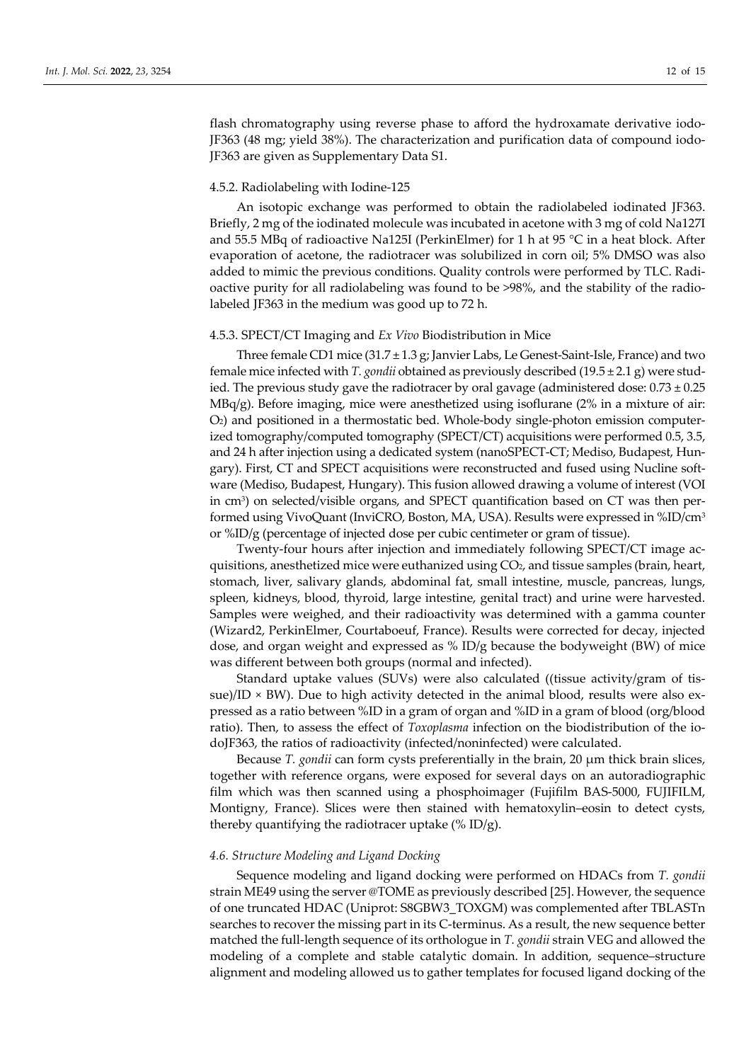flash chromatography using reverse phase to afford the hydroxamate derivative iodo-JF363 (48 mg; yield 38%). The characterization and purification data of compound iodo-JF363 are given as Supplementary Data S1.

#### 4.5.2. Radiolabeling with Iodine-125

An isotopic exchange was performed to obtain the radiolabeled iodinated JF363. Briefly, 2 mg of the iodinated molecule was incubated in acetone with 3 mg of cold Na127I and 55.5 MBq of radioactive Na125I (PerkinElmer) for 1 h at 95 °C in a heat block. After evaporation of acetone, the radiotracer was solubilized in corn oil; 5% DMSO was also added to mimic the previous conditions. Quality controls were performed by TLC. Radioactive purity for all radiolabeling was found to be >98%, and the stability of the radiolabeled JF363 in the medium was good up to 72 h.

#### 4.5.3. SPECT/CT Imaging and *Ex Vivo* Biodistribution in Mice

Three female CD1 mice (31.7 ± 1.3 g; Janvier Labs, Le Genest-Saint-Isle, France) and two female mice infected with *T. gondii* obtained as previously described (19.5 ± 2.1 g) were studied. The previous study gave the radiotracer by oral gavage (administered dose: 0.73 ± 0.25  $MBq/g$ ). Before imaging, mice were anesthetized using isoflurane (2% in a mixture of air: O2) and positioned in a thermostatic bed. Whole-body single-photon emission computerized tomography/computed tomography (SPECT/CT) acquisitions were performed 0.5, 3.5, and 24 h after injection using a dedicated system (nanoSPECT-CT; Mediso, Budapest, Hungary). First, CT and SPECT acquisitions were reconstructed and fused using Nucline software (Mediso, Budapest, Hungary). This fusion allowed drawing a volume of interest (VOI in cm<sup>3</sup>) on selected/visible organs, and SPECT quantification based on CT was then performed using VivoQuant (InviCRO, Boston, MA, USA). Results were expressed in %ID/cm3 or %ID/g (percentage of injected dose per cubic centimeter or gram of tissue).

Twenty-four hours after injection and immediately following SPECT/CT image acquisitions, anesthetized mice were euthanized using CO2, and tissue samples (brain, heart, stomach, liver, salivary glands, abdominal fat, small intestine, muscle, pancreas, lungs, spleen, kidneys, blood, thyroid, large intestine, genital tract) and urine were harvested. Samples were weighed, and their radioactivity was determined with a gamma counter (Wizard2, PerkinElmer, Courtaboeuf, France). Results were corrected for decay, injected dose, and organ weight and expressed as % ID/g because the bodyweight (BW) of mice was different between both groups (normal and infected).

Standard uptake values (SUVs) were also calculated ((tissue activity/gram of tissue)/ID  $\times$  BW). Due to high activity detected in the animal blood, results were also expressed as a ratio between %ID in a gram of organ and %ID in a gram of blood (org/blood ratio). Then, to assess the effect of *Toxoplasma* infection on the biodistribution of the iodoJF363, the ratios of radioactivity (infected/noninfected) were calculated.

Because *T. gondii* can form cysts preferentially in the brain, 20 μm thick brain slices, together with reference organs, were exposed for several days on an autoradiographic film which was then scanned using a phosphoimager (Fujifilm BAS-5000, FUJIFILM, Montigny, France). Slices were then stained with hematoxylin–eosin to detect cysts, thereby quantifying the radiotracer uptake  $(\%$  ID/g).

#### *4.6. Structure Modeling and Ligand Docking*

Sequence modeling and ligand docking were performed on HDACs from *T. gondii* strain ME49 using the server @TOME as previously described [25]. However, the sequence of one truncated HDAC (Uniprot: S8GBW3\_TOXGM) was complemented after TBLASTn searches to recover the missing part in its C-terminus. As a result, the new sequence better matched the full-length sequence of its orthologue in *T. gondii* strain VEG and allowed the modeling of a complete and stable catalytic domain. In addition, sequence–structure alignment and modeling allowed us to gather templates for focused ligand docking of the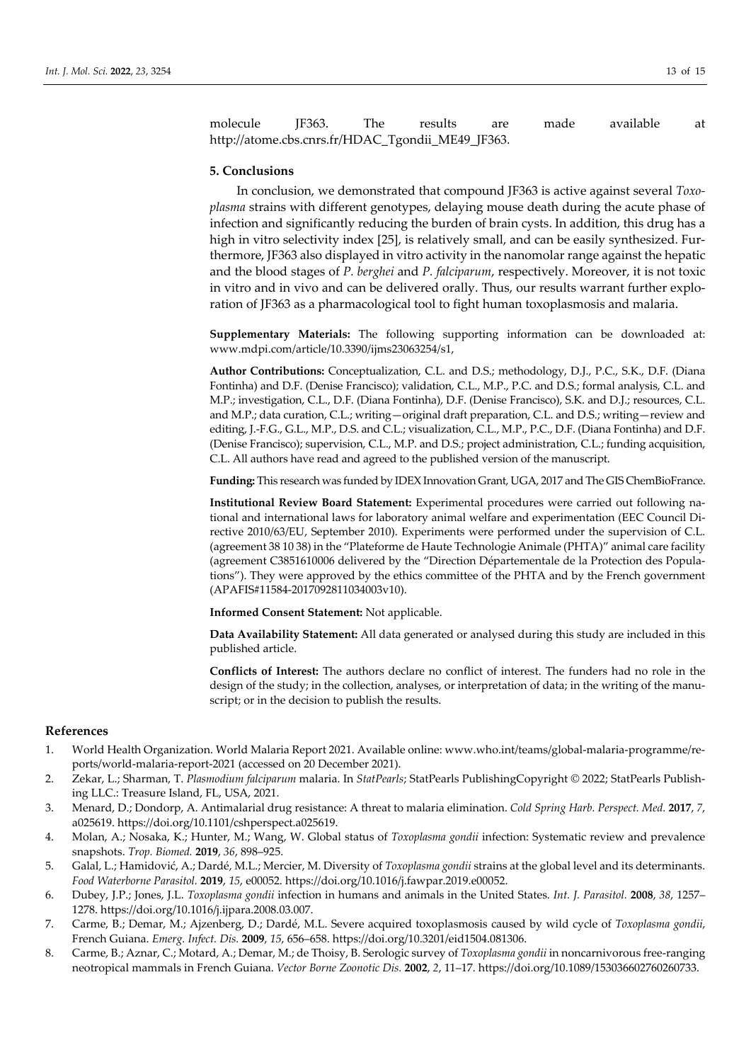molecule JF363. The results are made available at http://atome.cbs.cnrs.fr/HDAC\_Tgondii\_ME49\_JF363.

## **5. Conclusions**

In conclusion, we demonstrated that compound JF363 is active against several *Toxoplasma* strains with different genotypes, delaying mouse death during the acute phase of infection and significantly reducing the burden of brain cysts. In addition, this drug has a high in vitro selectivity index [25], is relatively small, and can be easily synthesized. Furthermore, JF363 also displayed in vitro activity in the nanomolar range against the hepatic and the blood stages of *P. berghei* and *P. falciparum*, respectively. Moreover, it is not toxic in vitro and in vivo and can be delivered orally. Thus, our results warrant further exploration of JF363 as a pharmacological tool to fight human toxoplasmosis and malaria.

**Supplementary Materials:** The following supporting information can be downloaded at: www.mdpi.com/article/10.3390/ijms23063254/s1,

**Author Contributions:** Conceptualization, C.L. and D.S.; methodology, D.J., P.C., S.K., D.F. (Diana Fontinha) and D.F. (Denise Francisco); validation, C.L., M.P., P.C. and D.S.; formal analysis, C.L. and M.P.; investigation, C.L., D.F. (Diana Fontinha), D.F. (Denise Francisco), S.K. and D.J.; resources, C.L. and M.P.; data curation, C.L.; writing—original draft preparation, C.L. and D.S.; writing—review and editing, J.-F.G., G.L., M.P., D.S. and C.L.; visualization, C.L., M.P., P.C., D.F. (Diana Fontinha) and D.F. (Denise Francisco); supervision, C.L., M.P. and D.S.; project administration, C.L.; funding acquisition, C.L. All authors have read and agreed to the published version of the manuscript.

**Funding:** This research was funded by IDEX Innovation Grant, UGA, 2017 and The GIS ChemBioFrance.

**Institutional Review Board Statement:** Experimental procedures were carried out following national and international laws for laboratory animal welfare and experimentation (EEC Council Directive 2010/63/EU, September 2010). Experiments were performed under the supervision of C.L. (agreement 38 10 38) in the "Plateforme de Haute Technologie Animale (PHTA)" animal care facility (agreement C3851610006 delivered by the "Direction Départementale de la Protection des Populations"). They were approved by the ethics committee of the PHTA and by the French government (APAFIS#11584-2017092811034003v10).

**Informed Consent Statement:** Not applicable.

**Data Availability Statement:** All data generated or analysed during this study are included in this published article.

**Conflicts of Interest:** The authors declare no conflict of interest. The funders had no role in the design of the study; in the collection, analyses, or interpretation of data; in the writing of the manuscript; or in the decision to publish the results.

#### **References**

- 1. World Health Organization. World Malaria Report 2021. Available online: www.who.int/teams/global-malaria-programme/reports/world-malaria-report-2021 (accessed on 20 December 2021).
- 2. Zekar, L.; Sharman, T. *Plasmodium falciparum* malaria. In *StatPearls*; StatPearls PublishingCopyright © 2022; StatPearls Publishing LLC.: Treasure Island, FL, USA, 2021.
- 3. Menard, D.; Dondorp, A. Antimalarial drug resistance: A threat to malaria elimination. *Cold Spring Harb. Perspect. Med.* **2017**, *7*, a025619. https://doi.org/10.1101/cshperspect.a025619.
- 4. Molan, A.; Nosaka, K.; Hunter, M.; Wang, W. Global status of *Toxoplasma gondii* infection: Systematic review and prevalence snapshots. *Trop. Biomed.* **2019**, *36*, 898–925.
- 5. Galal, L.; Hamidović, A.; Dardé, M.L.; Mercier, M. Diversity of *Toxoplasma gondii* strains at the global level and its determinants. *Food Waterborne Parasitol.* **2019**, *15*, e00052. https://doi.org/10.1016/j.fawpar.2019.e00052.
- 6. Dubey, J.P.; Jones, J.L. *Toxoplasma gondii* infection in humans and animals in the United States. *Int. J. Parasitol.* **2008**, *38*, 1257– 1278. https://doi.org/10.1016/j.ijpara.2008.03.007.
- 7. Carme, B.; Demar, M.; Ajzenberg, D.; Dardé, M.L. Severe acquired toxoplasmosis caused by wild cycle of *Toxoplasma gondii*, French Guiana. *Emerg. Infect. Dis.* **2009**, *15*, 656–658. https://doi.org/10.3201/eid1504.081306.
- 8. Carme, B.; Aznar, C.; Motard, A.; Demar, M.; de Thoisy, B. Serologic survey of *Toxoplasma gondii* in noncarnivorous free-ranging neotropical mammals in French Guiana. *Vector Borne Zoonotic Dis.* **2002**, *2*, 11–17. https://doi.org/10.1089/153036602760260733.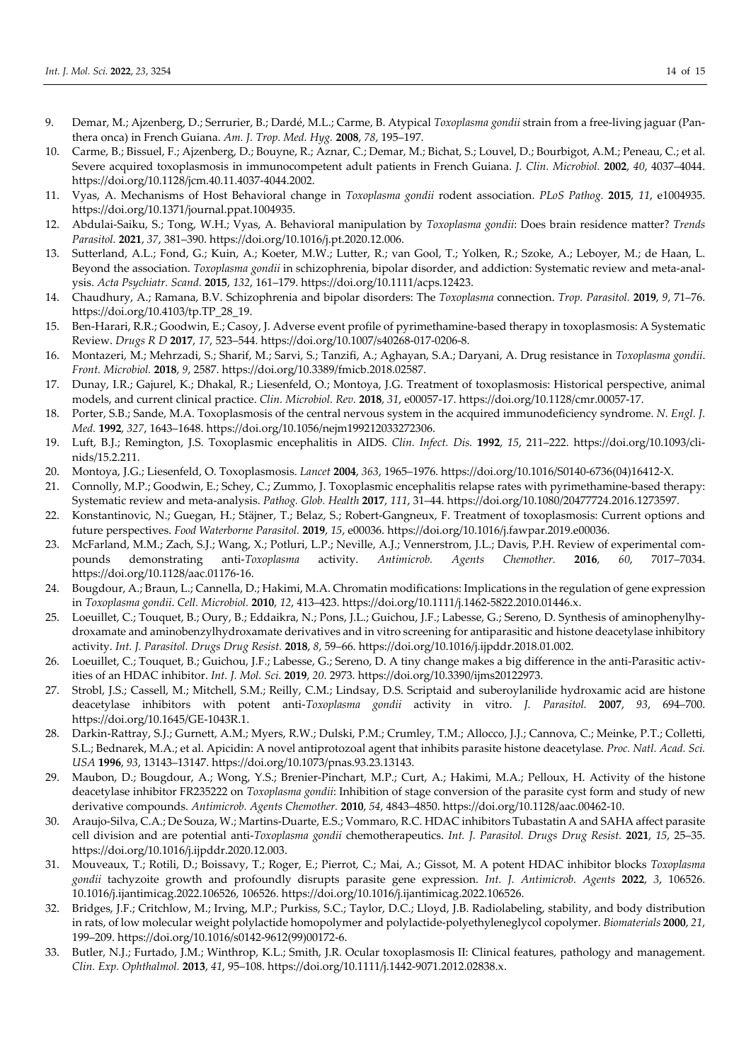- 9. Demar, M.; Ajzenberg, D.; Serrurier, B.; Dardé, M.L.; Carme, B. Atypical *Toxoplasma gondii* strain from a free-living jaguar (Panthera onca) in French Guiana. *Am. J. Trop. Med. Hyg.* **2008**, *78*, 195–197.
- 10. Carme, B.; Bissuel, F.; Ajzenberg, D.; Bouyne, R.; Aznar, C.; Demar, M.; Bichat, S.; Louvel, D.; Bourbigot, A.M.; Peneau, C.; et al. Severe acquired toxoplasmosis in immunocompetent adult patients in French Guiana. *J. Clin. Microbiol.* **2002**, *40*, 4037–4044. https://doi.org/10.1128/jcm.40.11.4037-4044.2002.
- 11. Vyas, A. Mechanisms of Host Behavioral change in *Toxoplasma gondii* rodent association. *PLoS Pathog.* **2015**, *11*, e1004935. https://doi.org/10.1371/journal.ppat.1004935.
- 12. Abdulai-Saiku, S.; Tong, W.H.; Vyas, A. Behavioral manipulation by *Toxoplasma gondii*: Does brain residence matter? *Trends Parasitol.* **2021**, *37*, 381–390. https://doi.org/10.1016/j.pt.2020.12.006.
- 13. Sutterland, A.L.; Fond, G.; Kuin, A.; Koeter, M.W.; Lutter, R.; van Gool, T.; Yolken, R.; Szoke, A.; Leboyer, M.; de Haan, L. Beyond the association. *Toxoplasma gondii* in schizophrenia, bipolar disorder, and addiction: Systematic review and meta-analysis. *Acta Psychiatr. Scand.* **2015**, *132*, 161–179. https://doi.org/10.1111/acps.12423.
- 14. Chaudhury, A.; Ramana, B.V. Schizophrenia and bipolar disorders: The *Toxoplasma* connection. *Trop. Parasitol.* **2019**, *9*, 71–76. https://doi.org/10.4103/tp.TP\_28\_19.
- 15. Ben-Harari, R.R.; Goodwin, E.; Casoy, J. Adverse event profile of pyrimethamine-based therapy in toxoplasmosis: A Systematic Review. *Drugs R D* **2017**, *17*, 523–544. https://doi.org/10.1007/s40268-017-0206-8.
- 16. Montazeri, M.; Mehrzadi, S.; Sharif, M.; Sarvi, S.; Tanzifi, A.; Aghayan, S.A.; Daryani, A. Drug resistance in *Toxoplasma gondii*. *Front. Microbiol.* **2018**, *9*, 2587. https://doi.org/10.3389/fmicb.2018.02587.
- 17. Dunay, I.R.; Gajurel, K.; Dhakal, R.; Liesenfeld, O.; Montoya, J.G. Treatment of toxoplasmosis: Historical perspective, animal models, and current clinical practice. *Clin. Microbiol. Rev.* **2018**, *31*, e00057-17. https://doi.org/10.1128/cmr.00057-17.
- 18. Porter, S.B.; Sande, M.A. Toxoplasmosis of the central nervous system in the acquired immunodeficiency syndrome. *N. Engl. J. Med.* **1992**, *327*, 1643–1648. https://doi.org/10.1056/nejm199212033272306.
- 19. Luft, B.J.; Remington, J.S. Toxoplasmic encephalitis in AIDS. *Clin. Infect. Dis.* **1992**, *15*, 211–222. https://doi.org/10.1093/clinids/15.2.211.
- 20. Montoya, J.G.; Liesenfeld, O. Toxoplasmosis. *Lancet* **2004**, *363*, 1965–1976. https://doi.org/10.1016/S0140-6736(04)16412-X.
- 21. Connolly, M.P.; Goodwin, E.; Schey, C.; Zummo, J. Toxoplasmic encephalitis relapse rates with pyrimethamine-based therapy: Systematic review and meta-analysis. *Pathog. Glob. Health* **2017**, *111*, 31–44. https://doi.org/10.1080/20477724.2016.1273597.
- 22. Konstantinovic, N.; Guegan, H.; Stäjner, T.; Belaz, S.; Robert-Gangneux, F. Treatment of toxoplasmosis: Current options and future perspectives. *Food Waterborne Parasitol.* **2019**, *15*, e00036. https://doi.org/10.1016/j.fawpar.2019.e00036.
- 23. McFarland, M.M.; Zach, S.J.; Wang, X.; Potluri, L.P.; Neville, A.J.; Vennerstrom, J.L.; Davis, P.H. Review of experimental compounds demonstrating anti-*Toxoplasma* activity. *Antimicrob. Agents Chemother.* **2016**, *60*, 7017–7034. https://doi.org/10.1128/aac.01176-16.
- 24. Bougdour, A.; Braun, L.; Cannella, D.; Hakimi, M.A. Chromatin modifications: Implications in the regulation of gene expression in *Toxoplasma gondii*. *Cell. Microbiol.* **2010**, *12*, 413–423. https://doi.org/10.1111/j.1462-5822.2010.01446.x.
- 25. Loeuillet, C.; Touquet, B.; Oury, B.; Eddaikra, N.; Pons, J.L.; Guichou, J.F.; Labesse, G.; Sereno, D. Synthesis of aminophenylhydroxamate and aminobenzylhydroxamate derivatives and in vitro screening for antiparasitic and histone deacetylase inhibitory activity. *Int. J. Parasitol. Drugs Drug Resist.* **2018**, *8*, 59–66. https://doi.org/10.1016/j.ijpddr.2018.01.002.
- 26. Loeuillet, C.; Touquet, B.; Guichou, J.F.; Labesse, G.; Sereno, D. A tiny change makes a big difference in the anti-Parasitic activities of an HDAC inhibitor. *Int. J. Mol. Sci.* **2019**, *20*. 2973. https://doi.org/10.3390/ijms20122973.
- 27. Strobl, J.S.; Cassell, M.; Mitchell, S.M.; Reilly, C.M.; Lindsay, D.S. Scriptaid and suberoylanilide hydroxamic acid are histone deacetylase inhibitors with potent anti-*Toxoplasma gondii* activity in vitro. *J. Parasitol.* **2007**, *93*, 694–700. https://doi.org/10.1645/GE-1043R.1.
- 28. Darkin-Rattray, S.J.; Gurnett, A.M.; Myers, R.W.; Dulski, P.M.; Crumley, T.M.; Allocco, J.J.; Cannova, C.; Meinke, P.T.; Colletti, S.L.; Bednarek, M.A.; et al. Apicidin: A novel antiprotozoal agent that inhibits parasite histone deacetylase. *Proc. Natl. Acad. Sci. USA* **1996**, *93*, 13143–13147. https://doi.org/10.1073/pnas.93.23.13143.
- 29. Maubon, D.; Bougdour, A.; Wong, Y.S.; Brenier-Pinchart, M.P.; Curt, A.; Hakimi, M.A.; Pelloux, H. Activity of the histone deacetylase inhibitor FR235222 on *Toxoplasma gondii*: Inhibition of stage conversion of the parasite cyst form and study of new derivative compounds. *Antimicrob. Agents Chemother.* **2010**, *54*, 4843–4850. https://doi.org/10.1128/aac.00462-10.
- 30. Araujo-Silva, C.A.; De Souza, W.; Martins-Duarte, E.S.; Vommaro, R.C. HDAC inhibitors Tubastatin A and SAHA affect parasite cell division and are potential anti-*Toxoplasma gondii* chemotherapeutics. *Int. J. Parasitol. Drugs Drug Resist.* **2021**, *15*, 25–35. https://doi.org/10.1016/j.ijpddr.2020.12.003.
- 31. Mouveaux, T.; Rotili, D.; Boissavy, T.; Roger, E.; Pierrot, C.; Mai, A.; Gissot, M. A potent HDAC inhibitor blocks *Toxoplasma gondii* tachyzoite growth and profoundly disrupts parasite gene expression. *Int. J. Antimicrob. Agents* **2022**, *3*, 106526. 10.1016/j.ijantimicag.2022.106526, 106526. https://doi.org/10.1016/j.ijantimicag.2022.106526.
- 32. Bridges, J.F.; Critchlow, M.; Irving, M.P.; Purkiss, S.C.; Taylor, D.C.; Lloyd, J.B. Radiolabeling, stability, and body distribution in rats, of low molecular weight polylactide homopolymer and polylactide-polyethyleneglycol copolymer. *Biomaterials* **2000**, *21*, 199–209. https://doi.org/10.1016/s0142-9612(99)00172-6.
- 33. Butler, N.J.; Furtado, J.M.; Winthrop, K.L.; Smith, J.R. Ocular toxoplasmosis II: Clinical features, pathology and management. *Clin. Exp. Ophthalmol.* **2013**, *41*, 95–108. https://doi.org/10.1111/j.1442-9071.2012.02838.x.